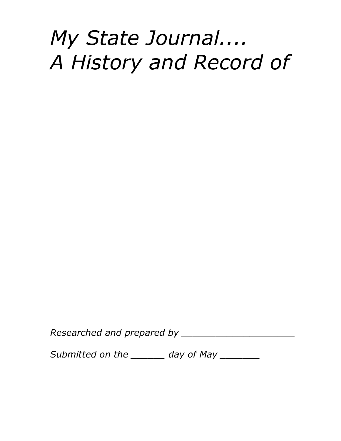# *My State Journal.... A History and Record of*

*Researched and prepared by \_\_\_\_\_\_\_\_\_\_\_\_\_\_\_\_\_\_\_\_*

*Submitted on the \_\_\_\_\_\_ day of May \_\_\_\_\_\_\_*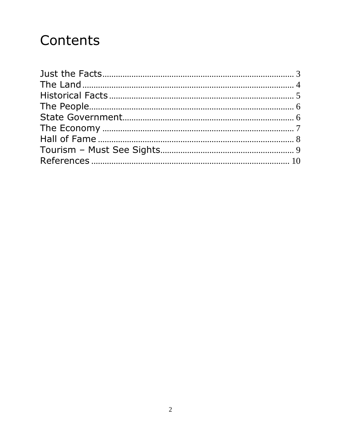### Contents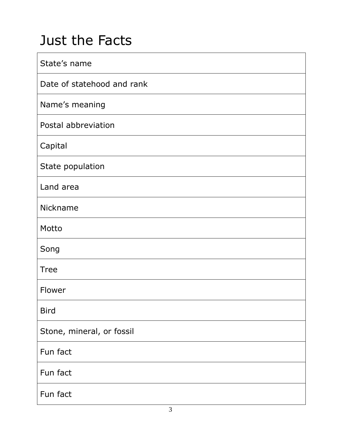### <span id="page-2-0"></span>Just the Facts

| State's name               |
|----------------------------|
| Date of statehood and rank |
| Name's meaning             |
| Postal abbreviation        |
| Capital                    |
| State population           |
| Land area                  |
| Nickname                   |
| Motto                      |
| Song                       |
| <b>Tree</b>                |
| Flower                     |
| <b>Bird</b>                |
| Stone, mineral, or fossil  |
| Fun fact                   |
| Fun fact                   |
| Fun fact                   |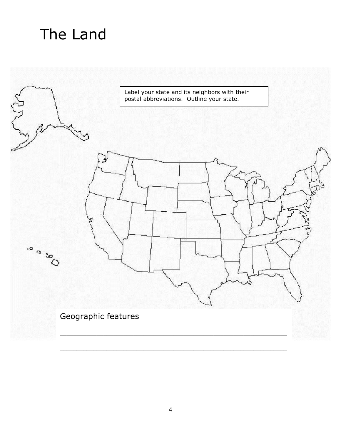### <span id="page-3-0"></span>The Land

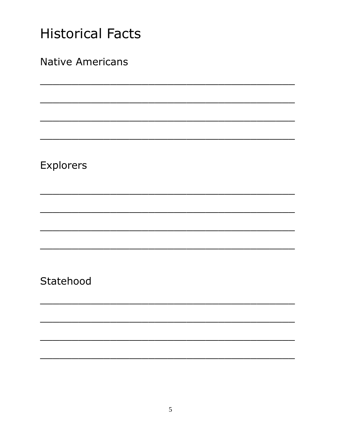<span id="page-4-0"></span>

| <b>Historical Facts</b> |  |  |
|-------------------------|--|--|
| <b>Native Americans</b> |  |  |
|                         |  |  |
|                         |  |  |
|                         |  |  |
| Explorers               |  |  |
|                         |  |  |
|                         |  |  |
|                         |  |  |
| Statehood               |  |  |
|                         |  |  |
|                         |  |  |
|                         |  |  |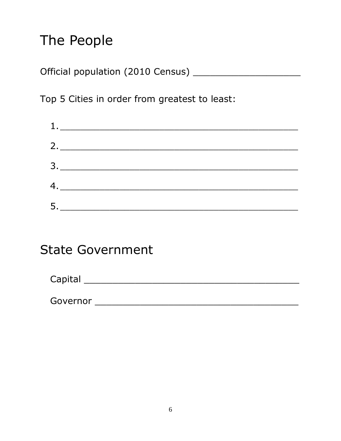### <span id="page-5-0"></span>The People

Top 5 Cities in order from greatest to least:

| $\begin{array}{c} \begin{array}{c} \texttt{1.2}\end{array} \end{array}$                                                                                                                                                                                                                                                                                                                                                                                                                                                                            |  |
|----------------------------------------------------------------------------------------------------------------------------------------------------------------------------------------------------------------------------------------------------------------------------------------------------------------------------------------------------------------------------------------------------------------------------------------------------------------------------------------------------------------------------------------------------|--|
|                                                                                                                                                                                                                                                                                                                                                                                                                                                                                                                                                    |  |
|                                                                                                                                                                                                                                                                                                                                                                                                                                                                                                                                                    |  |
|                                                                                                                                                                                                                                                                                                                                                                                                                                                                                                                                                    |  |
| $\begin{array}{c} \n 4. \quad \text{---} \quad \text{---} \quad \text{---} \quad \text{---} \quad \text{---} \quad \text{---} \quad \text{---} \quad \text{---} \quad \text{---} \quad \text{---} \quad \text{---} \quad \text{---} \quad \text{---} \quad \text{---} \quad \text{---} \quad \text{---} \quad \text{---} \quad \text{---} \quad \text{---} \quad \text{---} \quad \text{---} \quad \text{---} \quad \text{---} \quad \text{---} \quad \text{---} \quad \text{---} \quad \text{---} \quad \text{---} \quad \text{---} \quad \text{$ |  |
|                                                                                                                                                                                                                                                                                                                                                                                                                                                                                                                                                    |  |

#### <span id="page-5-1"></span>**State Government**

| Capital |  |  |  |
|---------|--|--|--|
|         |  |  |  |

| ∽<br>Governor |  |  |  |
|---------------|--|--|--|
|               |  |  |  |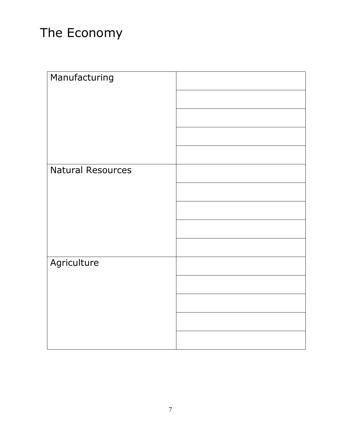#### <span id="page-6-0"></span>The Economy

| Manufacturing            |  |
|--------------------------|--|
|                          |  |
|                          |  |
|                          |  |
|                          |  |
|                          |  |
| <b>Natural Resources</b> |  |
|                          |  |
|                          |  |
|                          |  |
|                          |  |
| Agriculture              |  |
|                          |  |
|                          |  |
|                          |  |
|                          |  |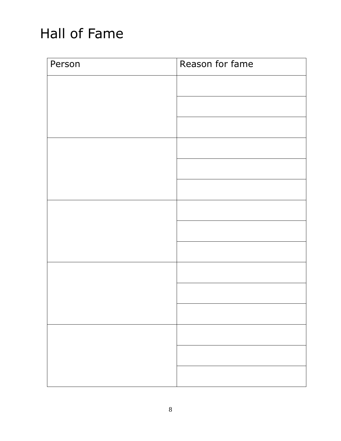### <span id="page-7-0"></span>Hall of Fame

| Person | Reason for fame |
|--------|-----------------|
|        |                 |
|        |                 |
|        |                 |
|        |                 |
|        |                 |
|        |                 |
|        |                 |
|        |                 |
|        |                 |
|        |                 |
|        |                 |
|        |                 |
|        |                 |
|        |                 |
|        |                 |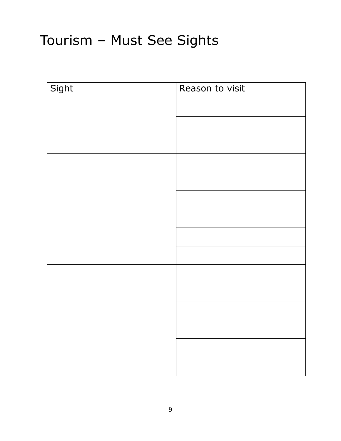## <span id="page-8-0"></span>Tourism – Must See Sights

| Sight | Reason to visit |
|-------|-----------------|
|       |                 |
|       |                 |
|       |                 |
|       |                 |
|       |                 |
|       |                 |
|       |                 |
|       |                 |
|       |                 |
|       |                 |
|       |                 |
|       |                 |
|       |                 |
|       |                 |
|       |                 |